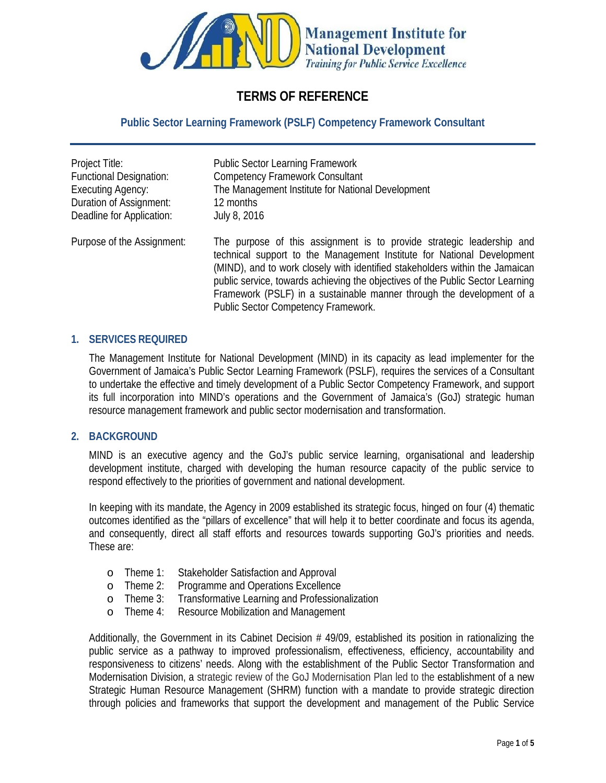

# **TERMS OF REFERENCE**

### **Public Sector Learning Framework (PSLF) Competency Framework Consultant**

| Project Title:<br><b>Functional Designation:</b><br><b>Executing Agency:</b> | <b>Public Sector Learning Framework</b><br><b>Competency Framework Consultant</b><br>The Management Institute for National Development                                                                                                                                                                                                                                                                                           |
|------------------------------------------------------------------------------|----------------------------------------------------------------------------------------------------------------------------------------------------------------------------------------------------------------------------------------------------------------------------------------------------------------------------------------------------------------------------------------------------------------------------------|
| <b>Duration of Assignment:</b>                                               | 12 months                                                                                                                                                                                                                                                                                                                                                                                                                        |
| Deadline for Application:<br><b>July 8, 2016</b>                             |                                                                                                                                                                                                                                                                                                                                                                                                                                  |
| Purpose of the Assignment:                                                   | The purpose of this assignment is to provide strategic leadership and<br>technical support to the Management Institute for National Development<br>(MIND), and to work dosely with identified stakeholders within the Jamaican<br>public service, towards achieving the objectives of the Public Sector Learning<br>Framework (PSLF) in a sustainable manner through the development of a<br>Public Sector Competency Framework. |

#### **1. SERVICES REQUIRED**

The Management Institute for National Development (MIND) in its capacity as lead implementer for the Government of Jamaica's Public Sector Learning Framework (PSLF), requires the services of a Consultant to undertake the effective and timely development of a Public Sector Competency Framework, and support its full incorporation into MIND's operations and the Government of Jamaica's (GoJ) strategic human resource management framework and public sector modernisation and transformation.

### **2. BACKGROUND**

MIND is an executive agency and the GoJ's public service learning, organisational and leadership development institute, charged with developing the human resource capacity of the public service to respond effectively to the priorities of government and national development.

In keeping with its mandate, the Agency in 2009 established its strategic focus, hinged on four (4) thematic outcomes identified as the "pillars of excellence" that will help it to better coordinate and focus its agenda, and consequently, direct all staff efforts and resources towards supporting GoJ's priorities and needs. These are:

- o Theme 1: Stakeholder Satisfaction and Approval
- o Theme 2: Programme and Operations Excellence
- o Theme 3: Transformative Learning and Professionalization
- o Theme 4: Resource Mobilization and Management

Additionally, the Government in its Cabinet Decision # 49/09, established its position in rationalizing the public service as a pathway to improved professionalism, effectiveness, efficiency, accountability and responsiveness to citizens' needs. Along with the establishment of the Public Sector Transformation and Modernisation Division, a strategic review of the GoJ Modernisation Plan led to the establishment of a new Strategic Human Resource Management (SHRM) function with a mandate to provide strategic direction through policies and frameworks that support the development and management of the Public Service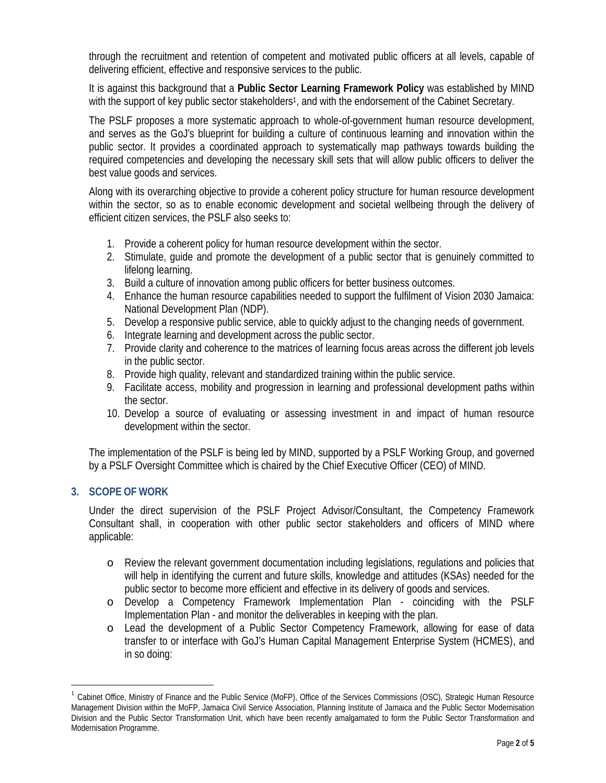through the recruitment and retention of competent and motivated public officers at all levels, capable of delivering efficient, effective and responsive services to the public.

It is against this background that a **Public Sector Learning Framework Policy** was established by MIND with the support of key public sector stakeholders<sup>1</sup>, and with the endorsement of the Cabinet Secretary.

The PSLF proposes a more systematic approach to whole-of-government human resource development, and serves as the GoJ's blueprint for building a culture of continuous learning and innovation within the public sector. It provides a coordinated approach to systematically map pathways towards building the required competencies and developing the necessary skill sets that will allow public officers to deliver the best value goods and services.

Along with its overarching objective to provide a coherent policy structure for human resource development within the sector, so as to enable economic development and societal wellbeing through the delivery of efficient citizen services, the PSLF also seeks to:

- 1. Provide a coherent policy for human resource development within the sector.
- 2. Stimulate, guide and promote the development of a public sector that is genuinely committed to lifelong learning.
- 3. Build a culture of innovation among public officers for better business outcomes.
- 4. Enhance the human resource capabilities needed to support the fulfilment of Vision 2030 Jamaica: National Development Plan (NDP).
- 5. Develop a responsive public service, able to quickly adjust to the changing needs of government.
- 6. Integrate learning and development across the public sector.
- 7. Provide clarity and coherence to the matrices of learning focus areas across the different job levels in the public sector.
- 8. Provide high quality, relevant and standardized training within the public service.
- 9. Facilitate access, mobility and progression in learning and professional development paths within the sector.
- 10. Develop a source of evaluating or assessing investment in and impact of human resource development within the sector.

The implementation of the PSLF is being led by MIND, supported by a PSLF Working Group, and governed by a PSLF Oversight Committee which is chaired by the Chief Executive Officer (CEO) of MIND.

## **3. SCOPE OF WORK**

Under the direct supervision of the PSLF Project Advisor/Consultant, the Competency Framework Consultant shall, in cooperation with other public sector stakeholders and officers of MIND where applicable:

- o Review the relevant government documentation including legislations, regulations and policies that will help in identifying the current and future skills, knowledge and attitudes (KSAs) needed for the public sector to become more efficient and effective in its delivery of goods and services.
- o Develop a Competency Framework Implementation Plan coinciding with the PSLF Implementation Plan - and monitor the deliverables in keeping with the plan.
- o Lead the development of a Public Sector Competency Framework, allowing for ease of data transfer to or interface with GoJ's Human Capital Management Enterprise System (HCMES), and in so doing:

<sup>1</sup> Cabinet Office, Ministry of Finance and the Public Service (MoFP), Office of the Services Commissions (OSC), Strategic Human Resource Management Division within the MoFP, Jamaica Civil Service Association, Planning Institute of Jamaica and the Public Sector Modernisation Division and the Public Sector Transformation Unit, which have been recently amalgamated to form the Public Sector Transformation and Modernisation Programme.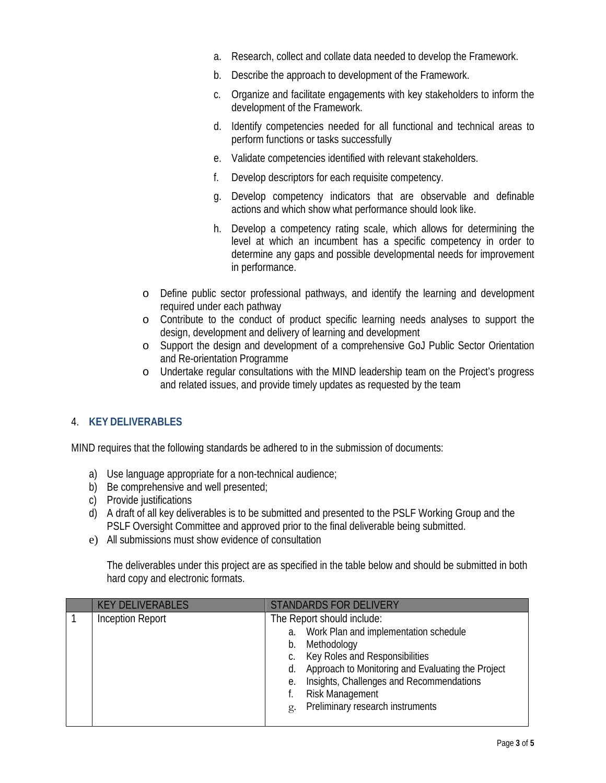- a. Research, collect and collate data needed to develop the Framework.
- b. Describe the approach to development of the Framework.
- c. Organize and facilitate engagements with key stakeholders to inform the development of the Framework.
- d. Identify competencies needed for all functional and technical areas to perform functions or tasks successfully
- e. Validate competencies identified with relevant stakeholders.
- f. Develop descriptors for each requisite competency.
- g. Develop competency indicators that are observable and definable actions and which show what performance should look like.
- h. Develop a competency rating scale, which allows for determining the level at which an incumbent has a specific competency in order to determine any gaps and possible developmental needs for improvement in performance.
- o Define public sector professional pathways, and identify the learning and development required under each pathway
- o Contribute to the conduct of product specific learning needs analyses to support the design, development and delivery of learning and development
- o Support the design and development of a comprehensive GoJ Public Sector Orientation and Re-orientation Programme
- o Undertake regular consultations with the MIND leadership team on the Project's progress and related issues, and provide timely updates as requested by the team

## 4. **KEY DELIVERABLES**

MIND requires that the following standards be adhered to in the submission of documents:

- a) Use language appropriate for a non-technical audience;
- b) Be comprehensive and well presented;
- c) Provide justifications
- d) A draft of all key deliverables is to be submitted and presented to the PSLF Working Group and the PSLF Oversight Committee and approved prior to the final deliverable being submitted.
- e) All submissions must show evidence of consultation

The deliverables under this project are as specified in the table below and should be submitted in both hard copy and electronic formats.

| <b>KEY DELIVERABLES</b> | <b>STANDARDS FOR DELIVERY</b>                                                                                                                                                                                                                                                                                       |
|-------------------------|---------------------------------------------------------------------------------------------------------------------------------------------------------------------------------------------------------------------------------------------------------------------------------------------------------------------|
| <b>Inception Report</b> | The Report should indude:<br>Work Plan and implementation schedule<br>a.<br>Methodology<br>b.<br>c. Key Roles and Responsibilities<br>Approach to Monitoring and Evaluating the Project<br>d.<br>Insights, Challenges and Recommendations<br>е.<br><b>Risk Management</b><br>Preliminary research instruments<br>g. |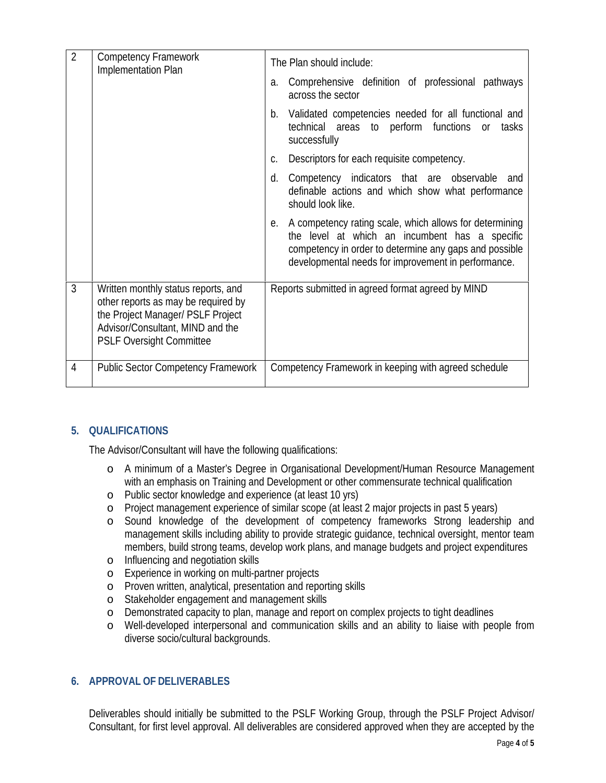| 2              | <b>Competency Framework</b><br><b>Implementation Plan</b>                                                                                                                              | The Plan should indude:                                                                                                                                                                                                       |
|----------------|----------------------------------------------------------------------------------------------------------------------------------------------------------------------------------------|-------------------------------------------------------------------------------------------------------------------------------------------------------------------------------------------------------------------------------|
|                |                                                                                                                                                                                        | Comprehensive definition of professional pathways<br>a.<br>across the sector                                                                                                                                                  |
|                |                                                                                                                                                                                        | b. Validated competencies needed for all functional and<br>technical areas to perform functions or tasks<br>successfully                                                                                                      |
|                |                                                                                                                                                                                        | Descriptors for each requisite competency.<br>C.                                                                                                                                                                              |
|                |                                                                                                                                                                                        | Competency indicators that are observable and<br>d.<br>definable actions and which show what performance<br>should look like.                                                                                                 |
|                |                                                                                                                                                                                        | e. A competency rating scale, which allows for determining<br>the level at which an incumbent has a specific<br>competency in order to determine any gaps and possible<br>developmental needs for improvement in performance. |
| 3              | Written monthly status reports, and<br>other reports as may be required by<br>the Project Manager/ PSLF Project<br>Advisor/Consultant, MIND and the<br><b>PSLF Oversight Committee</b> | Reports submitted in agreed format agreed by MIND                                                                                                                                                                             |
| $\overline{4}$ | <b>Public Sector Competency Framework</b>                                                                                                                                              | Competency Framework in keeping with agreed schedule                                                                                                                                                                          |

# **5. QUALIFICATIONS**

The Advisor/Consultant will have the following qualifications:

- o A minimum of a Master's Degree in Organisational Development/Human Resource Management with an emphasis on Training and Development or other commensurate technical qualification
- o Public sector knowledge and experience (at least 10 yrs)
- o Project management experience of similar scope (at least 2 major projects in past 5 years)
- o Sound knowledge of the development of competency frameworks Strong leadership and management skills including ability to provide strategic guidance, technical oversight, mentor team members, build strong teams, develop work plans, and manage budgets and project expenditures
- o Influencing and negotiation skills
- o Experience in working on multi-partner projects
- o Proven written, analytical, presentation and reporting skills
- o Stakeholder engagement and management skills
- o Demonstrated capacity to plan, manage and report on complex projects to tight deadlines
- o Well-developed interpersonal and communication skills and an ability to liaise with people from diverse socio/cultural backgrounds.

## **6. APPROVAL OF DELIVERABLES**

Deliverables should initially be submitted to the PSLF Working Group, through the PSLF Project Advisor/ Consultant, for first level approval. All deliverables are considered approved when they are accepted by the